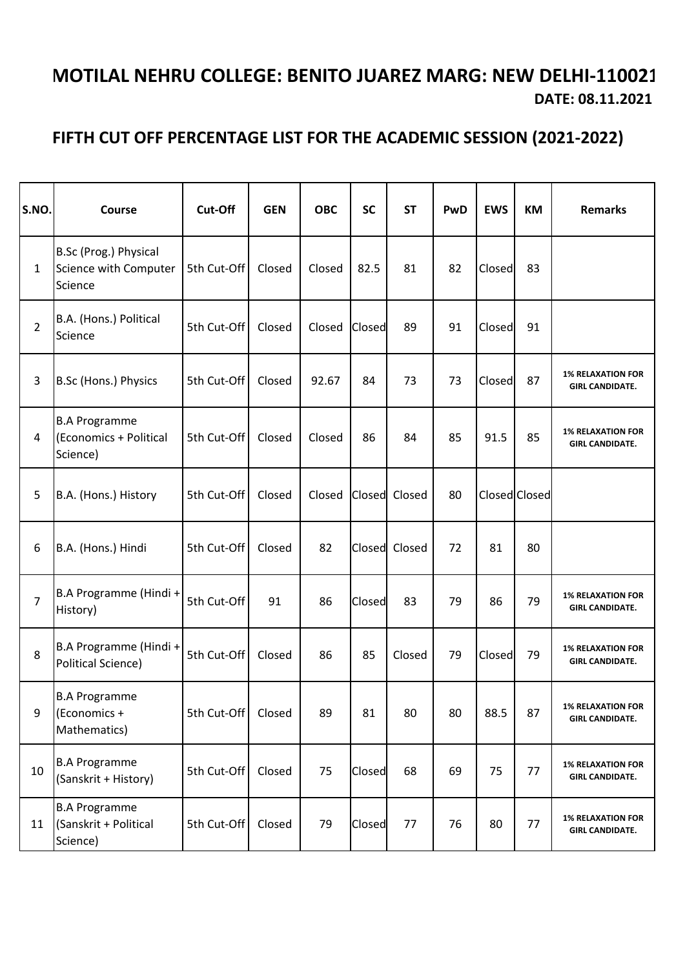## **DATE: 08.11.2021 MOTILAL NEHRU COLLEGE: BENITO JUAREZ MARG: NEW DELHI-110021**

## **FIFTH CUT OFF PERCENTAGE LIST FOR THE ACADEMIC SESSION (2021-2022)**

| S.NO.          | Course                                                     | Cut-Off     | <b>GEN</b> | <b>OBC</b> | <b>SC</b> | <b>ST</b>     | PwD | <b>EWS</b> | <b>KM</b>     | <b>Remarks</b>                                     |
|----------------|------------------------------------------------------------|-------------|------------|------------|-----------|---------------|-----|------------|---------------|----------------------------------------------------|
| 1              | B.Sc (Prog.) Physical<br>Science with Computer<br>Science  | 5th Cut-Off | Closed     | Closed     | 82.5      | 81            | 82  | Closed     | 83            |                                                    |
| $\overline{2}$ | B.A. (Hons.) Political<br>Science                          | 5th Cut-Off | Closed     | Closed     | Closed    | 89            | 91  | Closed     | 91            |                                                    |
| 3              | B.Sc (Hons.) Physics                                       | 5th Cut-Off | Closed     | 92.67      | 84        | 73            | 73  | Closed     | 87            | <b>1% RELAXATION FOR</b><br><b>GIRL CANDIDATE.</b> |
| 4              | <b>B.A Programme</b><br>(Economics + Political<br>Science) | 5th Cut-Off | Closed     | Closed     | 86        | 84            | 85  | 91.5       | 85            | <b>1% RELAXATION FOR</b><br><b>GIRL CANDIDATE.</b> |
| 5              | B.A. (Hons.) History                                       | 5th Cut-Off | Closed     | Closed     |           | Closed Closed | 80  |            | Closed Closed |                                                    |
| 6              | B.A. (Hons.) Hindi                                         | 5th Cut-Off | Closed     | 82         |           | Closed Closed | 72  | 81         | 80            |                                                    |
| $\overline{7}$ | B.A Programme (Hindi +<br>History)                         | 5th Cut-Off | 91         | 86         | Closed    | 83            | 79  | 86         | 79            | <b>1% RELAXATION FOR</b><br><b>GIRL CANDIDATE.</b> |
| 8              | B.A Programme (Hindi +<br>Political Science)               | 5th Cut-Off | Closed     | 86         | 85        | Closed        | 79  | Closed     | 79            | <b>1% RELAXATION FOR</b><br><b>GIRL CANDIDATE.</b> |
| 9              | <b>B.A Programme</b><br>(Economics +<br>Mathematics)       | 5th Cut-Off | Closed     | 89         | 81        | 80            | 80  | 88.5       | 87            | <b>1% RELAXATION FOR</b><br><b>GIRL CANDIDATE.</b> |
| 10             | <b>B.A Programme</b><br>(Sanskrit + History)               | 5th Cut-Off | Closed     | 75         | Closed    | 68            | 69  | 75         | 77            | <b>1% RELAXATION FOR</b><br><b>GIRL CANDIDATE.</b> |
| 11             | <b>B.A Programme</b><br>(Sanskrit + Political<br>Science)  | 5th Cut-Off | Closed     | 79         | Closed    | 77            | 76  | 80         | 77            | <b>1% RELAXATION FOR</b><br><b>GIRL CANDIDATE.</b> |